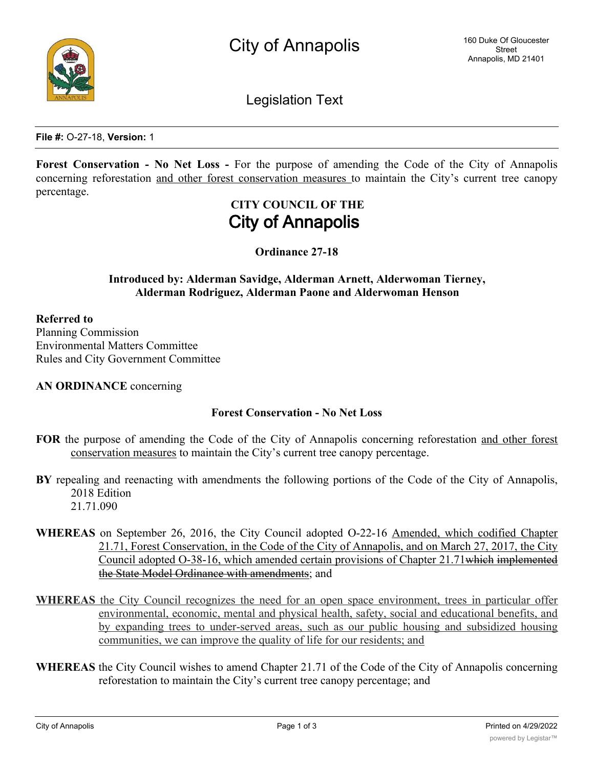

**File #:** O-27-18, **Version:** 1

**Forest Conservation - No Net Loss -** For the purpose of amending the Code of the City of Annapolis concerning reforestation and other forest conservation measures to maintain the City's current tree canopy percentage.

# **CITY COUNCIL OF THE City of Annapolis**

**Ordinance 27-18**

### **Introduced by: Alderman Savidge, Alderman Arnett, Alderwoman Tierney, Alderman Rodriguez, Alderman Paone and Alderwoman Henson**

### **Referred to**

Planning Commission Environmental Matters Committee Rules and City Government Committee

**AN ORDINANCE** concerning

### **Forest Conservation - No Net Loss**

- **FOR** the purpose of amending the Code of the City of Annapolis concerning reforestation and other forest conservation measures to maintain the City's current tree canopy percentage.
- **BY** repealing and reenacting with amendments the following portions of the Code of the City of Annapolis, 2018 Edition 21.71.090
- **WHEREAS** on September 26, 2016, the City Council adopted O-22-16 Amended, which codified Chapter 21.71, Forest Conservation, in the Code of the City of Annapolis, and on March 27, 2017, the City Council adopted O-38-16, which amended certain provisions of Chapter 21.71which implemented the State Model Ordinance with amendments; and
- **WHEREAS** the City Council recognizes the need for an open space environment, trees in particular offer environmental, economic, mental and physical health, safety, social and educational benefits, and by expanding trees to under-served areas, such as our public housing and subsidized housing communities, we can improve the quality of life for our residents; and
- **WHEREAS** the City Council wishes to amend Chapter 21.71 of the Code of the City of Annapolis concerning reforestation to maintain the City's current tree canopy percentage; and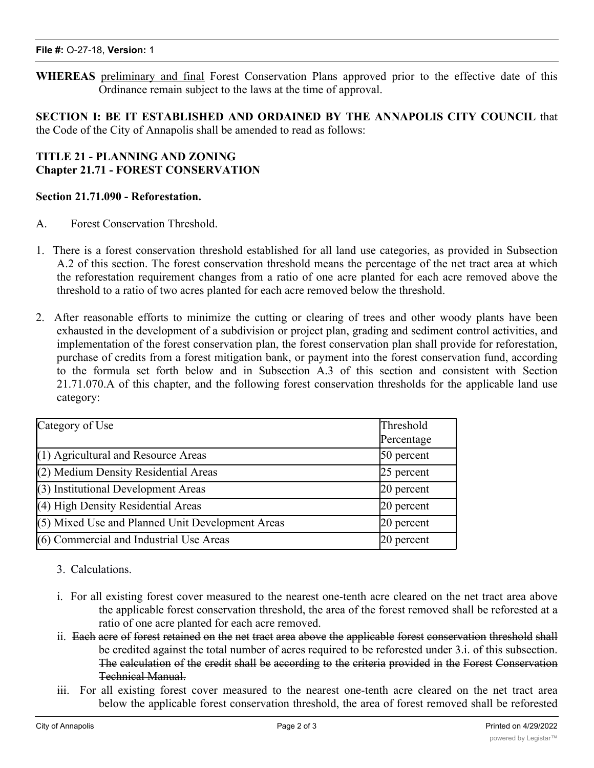**WHEREAS** preliminary and final Forest Conservation Plans approved prior to the effective date of this Ordinance remain subject to the laws at the time of approval.

**SECTION I: BE IT ESTABLISHED AND ORDAINED BY THE ANNAPOLIS CITY COUNCIL** that the Code of the City of Annapolis shall be amended to read as follows:

## **TITLE 21 - PLANNING AND ZONING Chapter 21.71 - FOREST CONSERVATION**

### **Section 21.71.090 - Reforestation.**

- A. Forest Conservation Threshold.
- 1. There is a forest conservation threshold established for all land use categories, as provided in Subsection A.2 of this section. The forest conservation threshold means the percentage of the net tract area at which the reforestation requirement changes from a ratio of one acre planted for each acre removed above the threshold to a ratio of two acres planted for each acre removed below the threshold.
- 2. After reasonable efforts to minimize the cutting or clearing of trees and other woody plants have been exhausted in the development of a subdivision or project plan, grading and sediment control activities, and implementation of the forest conservation plan, the forest conservation plan shall provide for reforestation, purchase of credits from a forest mitigation bank, or payment into the forest conservation fund, according to the formula set forth below and in Subsection A.3 of this section and consistent with Section 21.71.070.A of this chapter, and the following forest conservation thresholds for the applicable land use category:

| Category of Use                                  | Threshold<br>Percentage |
|--------------------------------------------------|-------------------------|
| $(1)$ Agricultural and Resource Areas            | 50 percent              |
| (2) Medium Density Residential Areas             | 25 percent              |
| (3) Institutional Development Areas              | 20 percent              |
| (4) High Density Residential Areas               | 20 percent              |
| (5) Mixed Use and Planned Unit Development Areas | 20 percent              |
| (6) Commercial and Industrial Use Areas          | $20$ percent            |

## 3. Calculations.

- i. For all existing forest cover measured to the nearest one-tenth acre cleared on the net tract area above the applicable forest conservation threshold, the area of the forest removed shall be reforested at a ratio of one acre planted for each acre removed.
- ii. Each acre of forest retained on the net tract area above the applicable forest conservation threshold shall be credited against the total number of acres required to be reforested under 3.i. of this subsection. The calculation of the credit shall be according to the criteria provided in the Forest Conservation Technical Manual.
- $\dddot{H}$ . For all existing forest cover measured to the nearest one-tenth acre cleared on the net tract area below the applicable forest conservation threshold, the area of forest removed shall be reforested